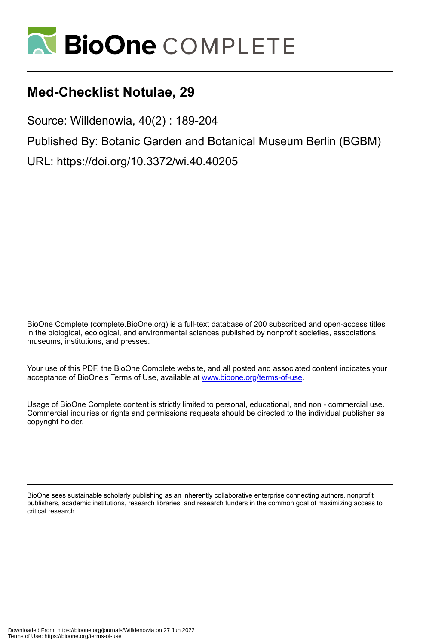

# **Med-Checklist Notulae, 29**

Source: Willdenowia, 40(2) : 189-204

Published By: Botanic Garden and Botanical Museum Berlin (BGBM)

URL: https://doi.org/10.3372/wi.40.40205

BioOne Complete (complete.BioOne.org) is a full-text database of 200 subscribed and open-access titles in the biological, ecological, and environmental sciences published by nonprofit societies, associations, museums, institutions, and presses.

Your use of this PDF, the BioOne Complete website, and all posted and associated content indicates your acceptance of BioOne's Terms of Use, available at www.bioone.org/terms-of-use.

Usage of BioOne Complete content is strictly limited to personal, educational, and non - commercial use. Commercial inquiries or rights and permissions requests should be directed to the individual publisher as copyright holder.

BioOne sees sustainable scholarly publishing as an inherently collaborative enterprise connecting authors, nonprofit publishers, academic institutions, research libraries, and research funders in the common goal of maximizing access to critical research.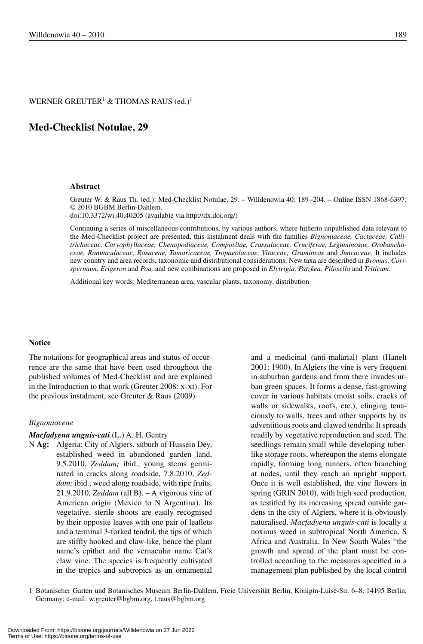# WERNER GREUTER $^1$  & THOMAS RAUS (ed.) $^1$

# **Med-Checklist Notulae, 29**

#### **Abstract**

Greuter W. & Raus Th. (ed.): Med-Checklist Notulae, 29. – Willdenowia 40: 189–204. – Online ISSN 1868-6397; © 2010 BGBM Berlin-Dahlem.

doi:10.3372/wi.40.40205 (available via http://dx.doi.org/)

Continuing a series of miscellaneous contributions, by various authors, where hitherto unpublished data relevant to the Med-Checklist project are presented, this instalment deals with the families *Bignoniaceae, Cactaceae, Callitri chaceae, Caryophyllaceae, Chenopodiaceae, Compositae, Crassulaceae, Cruciferae, Leguminosae, Orobanchaceae, Ranunculaceae, Rosaceae, Tamaricaceae, Tropaeolaceae, Vitaceae; Gramineae* and *Juncaceae*. It includes new country and area records, taxonomic and distributional considerations. New taxa are described in *Bromus, Corispermum, Erigeron* and *Poa,* and new combinations are proposed in *Elytrigia, Patzkea, Pilosella* and *Triticum*.

Additional key words: Mediterranean area, vascular plants, taxonomy, distribution

#### **Notice**

The notations for geographical areas and status of occurrence are the same that have been used throughout the published volumes of Med-Checklist and are explained in the Introduction to that work (Greuter 2008: x-xi). For the previous instalment, see Greuter & Raus (2009).

#### *Bignoniaceae*

#### *Macfadyena unguis-cati* (L.) A. H. Gentry

N **Ag:** Algeria: City of Algiers, suburb of Hussein Dey, established weed in abandoned garden land, 9.5.2010, *Zeddam;* ibid., young stems germinated in cracks along roadside, 7.8.2010, *Zeddam;* ibid., weed along roadside, with ripe fruits, 21.9.2010, *Zeddam* (all B). – A vigorous vine of American origin (Mexico to N Argentina). Its vegetative, sterile shoots are easily recognised by their opposite leaves with one pair of leaflets and a terminal 3-forked tendril, the tips of which are stiffly hooked and claw-like, hence the plant name's epithet and the vernacular name Cat's claw vine. The species is frequently cultivated in the tropics and subtropics as an ornamental

and a medicinal (anti-malarial) plant (Hanelt 2001: 1900). In Algiers the vine is very frequent in suburban gardens and from there invades urban green spaces. It forms a dense, fast-growing cover in various habitats (moist soils, cracks of walls or sidewalks, roofs, etc.), clinging tenaciously to walls, trees and other supports by its adventitious roots and clawed tendrils. It spreads readily by vegetative reproduction and seed. The seedlings remain small while developing tuberlike storage roots, whereupon the stems elongate rapidly, forming long runners, often branching at nodes, until they reach an upright support. Once it is well established, the vine flowers in spring (GRIN 2010), with high seed production, as testified by its increasing spread outside gardens in the city of Algiers, where it is obviously naturalised. *Macfadyena unguis-cati* is locally a noxious weed in subtropical North America, S Africa and Australia. In New South Wales "the growth and spread of the plant must be controlled according to the measures specified in a management plan published by the local control

<sup>1</sup> Botanischer Garten und Botanisches Museum Berlin-Dahlem, Freie Universität Berlin, Königin-Luise-Str. 6–8, 14195 Berlin, Germany; e-mail: w.greuter@bgbm.org, t.raus@bgbm.org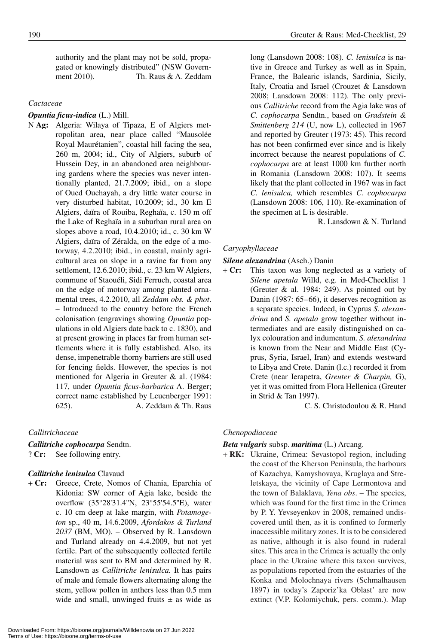authority and the plant may not be sold, propagated or knowingly distributed" (NSW Government 2010). Th. Raus & A. Zeddam

#### *Cactaceae*

*Opuntia ficus-indica* (L.) Mill.

N **Ag:** Algeria: Wilaya of Tipaza, E of Algiers metropolitan area, near place called "Mausolée Royal Maurétanien", coastal hill facing the sea, 260 m, 2004; id., City of Algiers, suburb of Hussein Dey, in an abandoned area neighbouring gardens where the species was never intentionally planted, 21.7.2009; ibid., on a slope of Oued Ouchayah, a dry little water course in very disturbed habitat, 10.2009; id., 30 km E Algiers, daïra of Rouiba, Reghaïa, c. 150 m off the Lake of Reghaïa in a suburban rural area on slopes above a road, 10.4.2010; id., c. 30 km W Algiers, daïra of Zéralda, on the edge of a motorway, 4.2.2010; ibid., in coastal, mainly agricultural area on slope in a ravine far from any settlement, 12.6.2010; ibid., c. 23 km W Algiers, commune of Staouéli, Sidi Ferruch, coastal area on the edge of motorway among planted ornamental trees, 4.2.2010, all *Zeddam obs. & phot*. – Introduced to the country before the French colonisation (engravings showing *Opuntia* populations in old Algiers date back to c. 1830), and at present growing in places far from human settlements where it is fully established. Also, its dense, impenetrable thorny barriers are still used for fencing fields. However, the species is not mentioned for Algeria in Greuter & al. (1984: 117, under *Opuntia ficus-barbarica* A. Berger; correct name established by Leuenberger 1991: 625). A. Zeddam & Th. Raus

#### *Callitrichaceae*

*Callitriche cophocarpa* Sendtn. ? **Cr:** See following entry.

#### *Callitriche lenisulca* Clavaud

+ **Cr:** Greece, Crete, Nomos of Chania, Eparchia of Kidonia: SW corner of Agia lake, beside the overflow (35°28'31.4''N, 23°55'54.5''E), water c. 10 cm deep at lake margin, with *Potamogeton* sp., 40 m, 14.6.2009, *Afordakos & Turland 2037* (BM, MO). – Observed by R. Lansdown and Turland already on 4.4.2009, but not yet fertile. Part of the subsequently collected fertile material was sent to BM and determined by R. Lansdown as *Callitriche lenisulca.* It has pairs of male and female flowers alternating along the stem, yellow pollen in anthers less than 0.5 mm wide and small, unwinged fruits  $\pm$  as wide as long (Lansdown 2008: 108). *C. lenisulca* is native in Greece and Turkey as well as in Spain, France, the Balearic islands, Sardinia, Sicily, Italy, Croatia and Israel (Crouzet & Lansdown 2008; Lansdown 2008: 112). The only previous *Callitriche* record from the Agia lake was of *C. cophocarpa* Sendtn., based on *Gradstein & Smittenberg 214* (U, now L), collected in 1967 and reported by Greuter (1973: 45). This record has not been confirmed ever since and is likely incorrect because the nearest populations of *C. cophocarpa* are at least 1000 km further north in Romania (Lansdown 2008: 107). It seems likely that the plant collected in 1967 was in fact *C. lenisulca,* which resembles *C. cophocarpa* (Lansdown 2008: 106, 110). Re-examination of the specimen at L is desirable.

R. Lansdown & N. Turland

#### *Caryophyllaceae*

#### *Silene alexandrina* (Asch.) Danin

+ **Cr:** This taxon was long neglected as a variety of *Silene apetala* Willd, e.g. in Med-Checklist 1 (Greuter & al. 1984: 249). As pointed out by Danin (1987: 65–66), it deserves recognition as a separate species. Indeed, in Cyprus *S. alexandrina* and *S. apetala* grow together without intermediates and are easily distinguished on calyx colouration and indumentum. *S. alexandrina* is known from the Near and Middle East (Cyprus, Syria, Israel, Iran) and extends westward to Libya and Crete. Danin (l.c.) recorded it from Crete (near Ierapetra, *Greuter & Charpin,* G), yet it was omitted from Flora Hellenica (Greuter in Strid & Tan 1997).

C. S. Christodoulou & R. Hand

#### *Chenopodiaceae*

#### *Beta vulgaris* subsp. *maritima* (L.) Arcang.

+ **RK:** Ukraine, Crimea: Sevastopol region, including the coast of the Kherson Peninsula, the harbours of Kazachya, Kamyshovaya, Kruglaya and Streletskaya, the vicinity of Cape Lermontova and the town of Balaklava, *Yena obs*. – The species, which was found for the first time in the Crimea by P. Y. Yevseyenkov in 2008, remained undiscovered until then, as it is confined to formerly inaccessible military zones. It is to be considered as native, although it is also found in ruderal sites. This area in the Crimea is actually the only place in the Ukraine where this taxon survives, as populations reported from the estuaries of the Konka and Molochnaya rivers (Schmalhausen 1897) in today's Zaporiz'ka Oblast' are now extinct (V.P. Kolomiychuk, pers. comm.). Map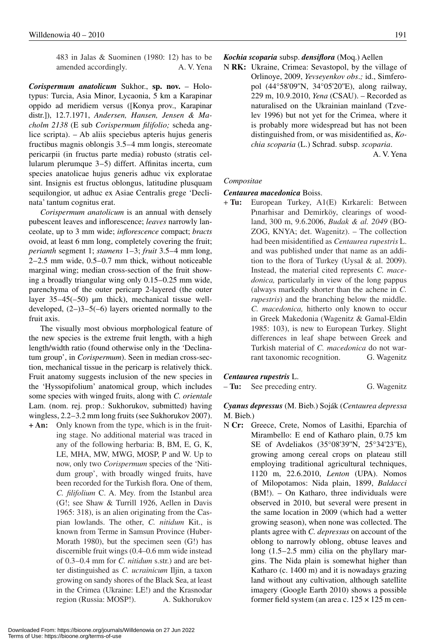483 in Jalas & Suominen (1980: 12) has to be amended accordingly. A. V. Yena

*Corispermum anatolicum* Sukhor., **sp. nov.** – Holotypus: Turcia, Asia Minor, Lycaonia, 5 km a Karapinar oppido ad meridiem versus ([Konya prov., Karapinar distr.]), 12.7.1971, *Andersen, Hansen, Jensen & Macholm 2138* (E sub *Cori spermum filifolio;* scheda anglice scripta). – Ab aliis speciebus apteris hujus generis fructibus magnis oblongis 3.5–4 mm longis, stereomate pericarpii (in fructus parte media) robusto (stratis cellularum plerumque 3-5) differt. Affinitas incerta, cum species anatolicae hujus generis adhuc vix exploratae sint. Insignis est fructus oblongus, latitudine plusquam sequilongior, ut adhuc ex Asiae Centralis grege 'Declinata' tantum cognitus erat.

*Corispermum anatolicum* is an annual with densely pubescent leaves and inflorescence; *leaves* narrowly lanceolate, up to 3 mm wide; *inflorescence* compact; *bracts* ovoid, at least 6 mm long, completely covering the fruit; *perianth* segment 1; *stamens* 1 – 3; *fruit* 3.5 – 4 mm long,  $2-2.5$  mm wide,  $0.5-0.7$  mm thick, without noticeable marginal wing; median cross-section of the fruit showing a broadly triangular wing only 0.15–0.25 mm wide, parenchyma of the outer pericarp 2-layered (the outer layer  $35-45(-50)$  µm thick), mechanical tissue welldeveloped,  $(2-)3-5(-6)$  layers oriented normally to the fruit axis.

The visually most obvious morphological feature of the new species is the extreme fruit length, with a high length/width ratio (found otherwise only in the 'Declinatum group', in *Corispermum*). Seen in median cross-section, mechanical tissue in the pericarp is relatively thick. Fruit anatomy suggests inclusion of the new species in the 'Hyssopifolium' anatomical group, which includes some species with winged fruits, along with *C. orientale* Lam. (nom. rej. prop.: Sukhorukov, submitted) having wingless, 2.2–3.2 mm long fruits (see Sukhorukov 2007). **+ An:** Only known from the type, which is in the fruit-

ing stage. No additional material was traced in any of the following herbaria: B, BM, E, G, K, LE, MHA, MW, MWG, MOSP, P and W. Up to now, only two *Corispermum* species of the 'Nitidum group', with broadly winged fruits, have been recorded for the Turkish flora. One of them, *C. filifolium* C. A. Mey. from the Istanbul area (G!; see Shaw & Turrill 1926, Aellen in Davis 1965: 318), is an alien originating from the Caspian lowlands. The other, *C. nitidum* Kit., is known from Terme in Samsun Province (Huber-Morath 1980), but the specimen seen (G!) has discernible fruit wings (0.4–0.6 mm wide instead of 0.3 – 0.4 mm for *C. nitidum* s.str.) and are better distinguished as *C. ucrainicum* Iljin, a taxon growing on sandy shores of the Black Sea, at least in the Crimea (Ukraine: LE!) and the Krasnodar region (Russia: MOSP!). A. Sukhorukov

# *Kochia scoparia* subsp. *densiflora* (Moq.) Aellen

N **RK:** Ukraine, Crimea: Sevastopol, by the village of Orlinoye, 2009, *Yevseyenkov obs*.*;* id., Simferopol (44°58'09''N, 34°05'20''E), along railway, 229 m, 10.9.2010, *Yena* (CSAU). – Recorded as naturalised on the Ukrainian mainland (Tzvelev 1996) but not yet for the Crimea, where it is probably more widespread but has not been distinguished from, or was misidentified as, *Kochia scoparia* (L.) Schrad. subsp. *scoparia*.

A. V. Yena

#### *Compositae*

#### *Centaurea macedonica* Boiss.

+ **Tu:** European Turkey, A1(E) Kırkareli: Between Pınarhisar and Demirköy, clearings of woodland, 300 m, 9.6.2006, *Budak & al. 2049* (BO-ZOG, KNYA; det. Wagenitz). – The collection had been misidentified as *Centaurea rupestris* L. and was published under that name as an addition to the flora of Turkey (Uysal & al. 2009). Instead, the material cited represents *C. macedonica,* particularly in view of the long pappus (always markedly shorter than the achene in *C. rupestris*) and the branching below the middle. *C. macedonica,* hitherto only known to occur in Greek Makedonia (Wagenitz & Gamal-Eldin 1985: 103), is new to European Turkey. Slight differences in leaf shape between Greek and Turkish material of *C. macedonica* do not warrant taxonomic recognition. G. Wagenitz

#### *Centaurea rupestris* L.

– **Tu:** See preceding entry. G. Wagenitz

# *Cyanus depressus* (M. Bieb.) Soják (*Centaurea depressa* M. Bieb.)

N **Cr:** Greece, Crete, Nomos of Lasithi, Eparchia of Mirambello: E end of Katharo plain, 0.75 km SE of Avdeliakos (35°08'39''N, 25°34'23''E), growing among cereal crops on plateau still employing traditional agricultural techniques, 1120 m, 22.6.2010, *Lenton* (UPA). Nomos of Milopotamos: Nida plain, 1899, *Baldacci*  (BM!). – On Katharo, three individuals were observed in 2010, but several were present in the same location in 2009 (which had a wetter growing season), when none was collected. The plants agree with *C. depressus* on account of the oblong to narrowly oblong, obtuse leaves and long  $(1.5-2.5 \text{ mm})$  cilia on the phyllary margins. The Nida plain is somewhat higher than Katharo (c. 1400 m) and it is nowadays grazing land without any cultivation, although satellite imagery (Google Earth 2010) shows a possible former field system (an area c.  $125 \times 125$  m cen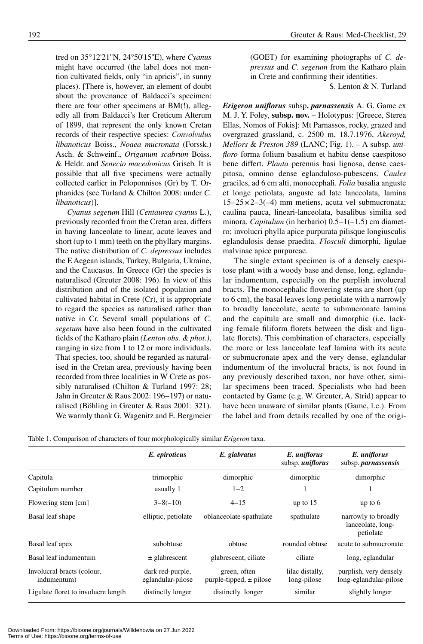tred on 35°12'21''N, 24°50'15''E), where *Cyanus* might have occurred (the label does not mention cultivated fields, only "in apricis", in sunny places). [There is, however, an element of doubt about the provenance of Baldacci's specimen: there are four other specimens at BM(!), allegedly all from Baldacci's Iter Creticum Alterum of 1899, that represent the only known Cretan records of their respective species: *Convolvulus libanoticus* Boiss., *Noaea mucronata* (Forssk.) Asch. & Schweinf., *Origanum scabrum* Boiss. & Heldr. and *Senecio macedonicus* Griseb. It is possible that all five specimens were actually collected earlier in Peloponnisos (Gr) by T. Orphanides (see Turland & Chilton 2008: under *C. libanoticus*)].

*Cyanus segetum* Hill (*Centaurea cyanus* L.), previously recorded from the Cretan area, differs in having lanceolate to linear, acute leaves and short (up to 1 mm) teeth on the phyllary margins. The native distribution of *C. depressus* includes the E Aegean islands, Turkey, Bulgaria, Ukraine, and the Caucasus. In Greece (Gr) the species is naturalised (Greuter 2008: 196). In view of this distribution and of the isolated population and cultivated habitat in Crete (Cr), it is appropriate to regard the species as naturalised rather than native in Cr. Several small populations of *C. segetum* have also been found in the cultivated fields of the Katharo plain *(Lenton obs. & phot.)*, ranging in size from 1 to 12 or more individuals. That species, too, should be regarded as naturalised in the Cretan area, previously having been recorded from three localities in W Crete as possibly naturalised (Chilton & Turland 1997: 28; Jahn in Greuter & Raus 2002: 196-197) or naturalised (Böhling in Greuter & Raus 2001: 321). We warmly thank G. Wagenitz and E. Bergmeier

(GOET) for examining photographs of *C. depressus* and *C. segetum* from the Katharo plain in Crete and confirming their identities.

S. Lenton & N. Turland

*Erigeron uniflorus* subsp**.** *parnassensis* A. G. Game ex M. J. Y. Foley, **subsp. nov.** – Holotypus: [Greece, Sterea Ellas, Nomos of Fokis]: Mt Parnassos, rocky, grazed and overgrazed grassland, c. 2500 m, 18.7.1976, *Akeroyd, Mellors* & *Preston 389* (LANC; Fig. 1). – A subsp. *unifloro* forma folium basalium et habitu dense caespitoso bene differt. *Planta* perennis basi lignosa, dense caespitosa, omnino dense eglanduloso-pubescens. *Caules* graciles, ad 6 cm alti, monocephali. *Folia* basalia anguste et longe petiolata, anguste ad late lanceolata, lamina  $15 - 25 \times 2 - 3(-4)$  mm metiens, acuta vel submucronata; caulina pauca, lineari-lanceolata, basalibus similia sed minora. *Capitulum* (in herbario) 0.5-1(-1.5) cm diametro; involucri phylla apice purpurata pilisque longiusculis eglandulosis dense praedita. *Flosculi* dimorphi, ligulae malvinae apice purpureae.

The single extant specimen is of a densely caespitose plant with a woody base and dense, long, eglandular indumentum, especially on the purplish involucral bracts. The monocephalic flowering stems are short (up to 6 cm), the basal leaves long-petiolate with a narrowly to broadly lanceolate, acute to submucronate lamina and the capitula are small and dimorphic (i.e. lacking female filiform florets between the disk and ligulate florets). This combination of characters, especially the more or less lanceolate leaf lamina with its acute or submucronate apex and the very dense, eglandular indumentum of the involucral bracts, is not found in any previously described taxon, nor have other, similar specimens been traced. Specialists who had been contacted by Game (e.g. W. Greuter, A. Strid) appear to have been unaware of similar plants (Game, l.c.). From the label and from details recalled by one of the origi-

|                                           | E. epiroticus                         | E. glabratus                                | E. uniflorus<br>subsp. <i>uniflorus</i> | E. uniflorus<br>subsp. <i>parnassensis</i>            |
|-------------------------------------------|---------------------------------------|---------------------------------------------|-----------------------------------------|-------------------------------------------------------|
| Capitula                                  | trimorphic                            | dimorphic                                   | dimorphic                               | dimorphic                                             |
| Capitulum number                          | usually 1                             | $1 - 2$                                     |                                         |                                                       |
| Flowering stem [cm]                       | $3 - 8(-10)$                          | $4 - 15$                                    | up to $15$                              | up to $6$                                             |
| Basal leaf shape                          | elliptic, petiolate                   | oblanceolate-spathulate                     | spathulate                              | narrowly to broadly<br>lanceolate, long-<br>petiolate |
| Basal leaf apex                           | subobtuse                             | obtuse                                      | rounded obtuse                          | acute to submucronate                                 |
| Basal leaf indumentum                     | $\pm$ glabrescent                     | glabrescent, ciliate                        | ciliate                                 | long, eglandular                                      |
| Involucral bracts (colour,<br>indumentum) | dark red-purple,<br>eglandular-pilose | green, often<br>purple-tipped, $\pm$ pilose | lilac distally,<br>long-pilose          | purplish, very densely<br>long-eglandular-pilose      |
| Ligulate floret to involucre length       | distinctly longer                     | distinctly longer                           | similar                                 | slightly longer                                       |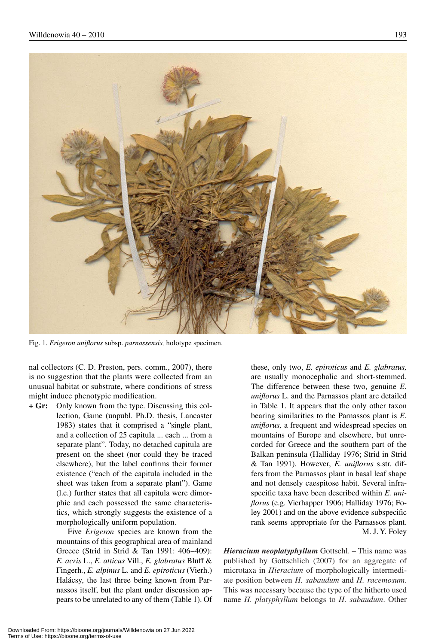

Fig. 1. *Erigeron uniflorus* subsp. *parnassensis,* holotype specimen.

nal collectors (C. D. Preston, pers. comm., 2007), there is no suggestion that the plants were collected from an unusual habitat or substrate, where conditions of stress might induce phenotypic modification.

**+ Gr:** Only known from the type. Discussing this collection, Game (unpubl. Ph.D. thesis, Lancaster 1983) states that it comprised a "single plant, and a collection of 25 capitula ... each ... from a separate plant". Today, no detached capitula are present on the sheet (nor could they be traced elsewhere), but the label confirms their former existence ("each of the capitula included in the sheet was taken from a separate plant"). Game (l.c.) further states that all capitula were dimorphic and each possessed the same characteristics, which strongly suggests the existence of a morphologically uniform population.

> Five *Erigeron* species are known from the mountains of this geographical area of mainland Greece (Strid in Strid & Tan 1991: 406-409): *E. acris* L., *E. atticus* Vill., *E. glabratus* Bluff & Fingerh*.*, *E. alpinus* L. and *E. epiroticus* (Vierh.) Halácsy, the last three being known from Parnassos itself, but the plant under discussion appears to be unrelated to any of them (Table 1). Of

these, only two, *E. epiroticus* and *E. glabratus,*  are usually monocephalic and short-stemmed. The difference between these two, genuine *E. uniflorus* L. and the Parnassos plant are detailed in Table 1. It appears that the only other taxon bearing similarities to the Parnassos plant is *E. uniflorus,* a frequent and widespread species on mountains of Europe and elsewhere, but unrecorded for Greece and the southern part of the Balkan peninsula (Halliday 1976; Strid in Strid & Tan 1991). However, *E. uniflorus* s.str. differs from the Parnassos plant in basal leaf shape and not densely caespitose habit. Several infraspecific taxa have been described within *E. uniflorus* (e.g. Vierhapper 1906; Halliday 1976; Foley 2001) and on the above evidence subspecific rank seems appropriate for the Parnassos plant. M. J. Y. Foley

*Hieracium neoplatyphyllum* Gottschl. – This name was published by Gottschlich (2007) for an aggregate of microtaxa in *Hieracium* of morphologically intermediate position between *H. sabaudum* and *H. racemosum*. This was necessary because the type of the hitherto used name *H. platyphyllum* belongs to *H. sabaudum*. Other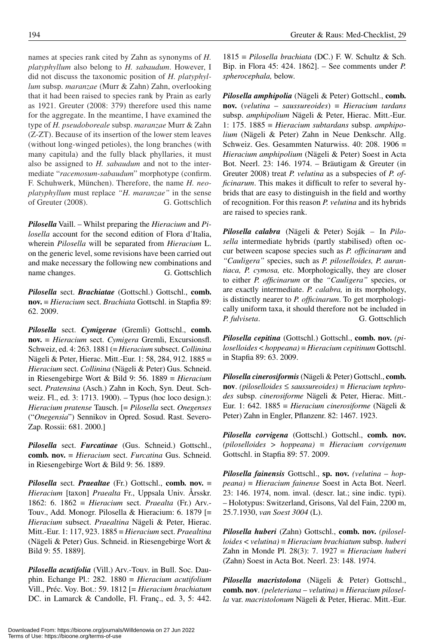names at species rank cited by Zahn as synonyms of *H. platyphyllum* also belong to *H. sabaudum*. However, I did not discuss the taxonomic position of *H. platyphyllum* subsp. *maranzae* (Murr & Zahn) Zahn, overlooking that it had been raised to species rank by Prain as early as 1921. Greuter (2008: 379) therefore used this name for the aggregate. In the meantime, I have examined the type of *H. pseudoboreale* subsp. *maranzae* Murr & Zahn (Z-ZT). Because of its insertion of the lower stem leaves (without long-winged petioles), the long branches (with many capitula) and the fully black phyllaries, it must also be assigned to *H. sabaudum* and not to the intermediate "*racemosum*-*sabaudum*" morphotype (confirm. F. Schuhwerk, München). Therefore, the name *H. neoplatyphyllum* must replace *"H. maranzae"* in the sense of Greuter (2008). G. Gottschlich

*Pilosella* Vaill. – Whilst preparing the *Hieracium* and *Pilosella* account for the second edition of Flora d'Italia, wherein *Pilosella* will be separated from *Hieracium* L. on the generic level, some revisions have been carried out and make necessary the following new combinations and name changes. G. Gottschlich

*Pilosella* sect. *Brachiatae* (Gottschl.) Gottschl., **comb. nov.** { *Hieracium* sect. *Brachiata* Gottschl. in Stapfia 89: 62. 2009.

*Pilosella* sect. *Cymigerae* (Gremli) Gottschl., **comb. nov.** { *Hieracium* sect. *Cymigera* Gremli, Excursionsfl. Schweiz, ed. 4: 263. 1881 ({ *Hieracium* subsect. *Collinina* Nägeli & Peter, Hierac. Mitt.-Eur. 1: 58, 284, 912. 1885 = *Hieracium* sect. *Collinina* (Nägeli & Peter) Gus. Schneid. in Riesengebirge Wort & Bild 9: 56. 1889  $\equiv$  *Hieracium* sect. *Pratensina* (Asch.) Zahn in Koch, Syn. Deut. Schweiz. Fl., ed. 3: 1713. 1900). – Typus (hoc loco design.): *Hieracium pratense* Tausch. [= *Pilosella* sect. *Onegenses* ("*Onegensia*") Sennikov in Opred. Sosud. Rast. Severo-Zap. Rossii: 681. 2000.]

*Pilosella* sect. *Furcatinae* (Gus. Schneid.) Gottschl., **comb. nov.** { *Hieracium* sect. *Furcatina* Gus. Schneid. in Riesengebirge Wort & Bild 9: 56. 1889.

*Pilosella* sect. *Praealtae* (Fr.) Gottschl., **comb.** nov.  $\equiv$ *Hieracium* [taxon] *Praealta* Fr., Uppsala Univ. Årsskr. 1862: 6. 1862  $\equiv$  *Hieracium* sect. *Praealta* (Fr.) Arv.-Touv., Add. Monogr. Pilosella & Hieracium: 6. 1879 [ $\equiv$ *Hieracium* subsect. *Praealtina* Nägeli & Peter, Hierac. Mitt.-Eur. 1: 117, 923. 1885 { *Hieracium* sect. *Praealtina* (Nägeli & Peter) Gus. Schneid. in Riesengebirge Wort & Bild 9: 55. 1889].

*Pilosella acutifolia* (Vill.) Arv.-Touv. in Bull. Soc. Dauphin. Echange Pl.: 282. 1880  $\equiv$  *Hieracium acutifolium* Vill., Préc. Voy. Bot.: 59. 1812 [= *Hieracium brachiatum* DC. in Lamarck & Candolle, Fl. Franç., ed. 3, 5: 442.

 $1815 \equiv$  *Pilosella brachiata* (DC.) F. W. Schultz & Sch. Bip. in Flora 45: 424. 1862]. – See comments under *P. spherocephala,* below.

*Pilosella amphipolia* (Nägeli & Peter) Gottschl., **comb. nov.** (*velutina* – *saussureoides*)  $\equiv$  *Hieracium tardans* subsp. *amphipolium* Nägeli & Peter, Hierac. Mitt.-Eur. 1: 175.  $1885 \equiv Hieracium subtardans subsp. *amphipo*$ *lium* (Nägeli & Peter) Zahn in Neue Denkschr. Allg. Schweiz. Ges. Gesammten Naturwiss. 40: 208. 1906  $\equiv$ *Hieracium amphipolium* (Nägeli & Peter) Soest in Acta Bot. Neerl. 23: 146. 1974. – Bräutigam & Greuter (in Greuter 2008) treat *P. velutina* as a subspecies of *P. officinarum*. This makes it difficult to refer to several hybrids that are easy to distinguish in the field and worthy of recognition. For this reason *P. velutina* and its hybrids are raised to species rank.

*Pilosella calabra* (Nägeli & Peter) Soják – In *Pilosella* intermediate hybrids (partly stabilised) often occur between scapose species such as *P. officinarum* and *"Cauligera"* species, such as *P. piloselloides, P. aurantiaca, P. cymosa,* etc. Morphologically, they are closer to either *P. officinarum* or the *"Cauligera"* species, or are exactly intermediate. *P. calabra,* in its morphology, is distinctly nearer to *P. officinarum*. To get morphologically uniform taxa, it should therefore not be included in *P. fulviseta.* **G. Gottschlich** 

*Pilosella cepitina* (Gottschl.) Gottschl., **comb. nov.** *(piloselloides* < *hoppeana)* { *Hieracium cepitinum* Gottschl. in Stapfia 89: 63. 2009.

*Pilosella cinerosiformis* (Nägeli & Peter) Gottschl., **comb. nov**. *(piloselloides*  $\leq$  *saussureoides)*  $\equiv$  *Hieracium tephrodes* subsp. *cinerosiforme* Nägeli & Peter, Hierac. Mitt.- Eur. 1: 642. 1885 = *Hieracium cinerosiforme* (Nägeli & Peter) Zahn in Engler, Pflanzenr. 82: 1467. 1923.

*Pilosella corvigena* (Gottschl.) Gottschl., **comb. nov.** *(pilo selloides* > *hoppeana)* { *Hieracium corvigenum* Gottschl. in Stapfia 89: 57. 2009.

*Pilosella fainensis* Gottschl., **sp. nov.** *(velutina* – *hop* $peana) \equiv Hieracium fainerase Soest in Acta Bot. Neerl.$ 23: 146. 1974, nom. inval. (descr. lat.; sine indic. typi). – Holotypus: Switzerland, Grisons, Val del Fain, 2200 m, 25.7.1930, *van Soest 3004* (L).

*Pilosella huberi* (Zahn) Gottschl., **comb. nov.** *(piloselloides* < *velutina)* { *Hieracium brachiatum* subsp. *huberi* Zahn in Monde Pl. 28(3): 7. 1927  $\equiv$  *Hieracium huberi* (Zahn) Soest in Acta Bot. Neerl. 23: 148. 1974.

*Pilosella macristolona* (Nägeli & Peter) Gottschl., **comb. nov**. *(peleteriana* – *velutina)* { *Hieracium pilosella* var. *macristolonum* Nägeli & Peter, Hierac. Mitt.-Eur.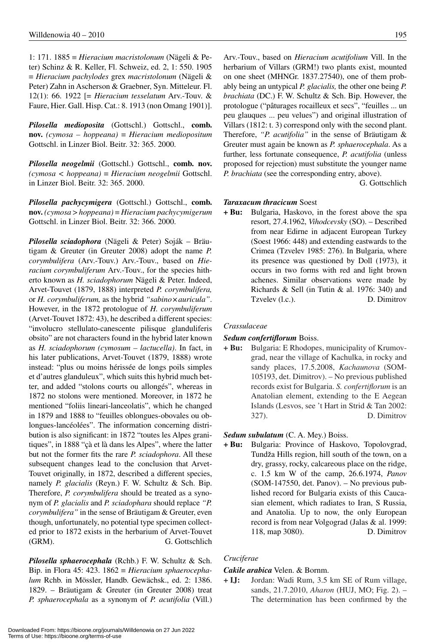1: 171. 1885 { *Hieracium macristolonum* (Nägeli & Peter) Schinz & R. Keller, Fl. Schweiz, ed. 2, 1: 550. 1905 { *Hieracium pachylodes* grex *macristolonum* (Nägeli & Peter) Zahn in Ascherson & Graebner, Syn. Mitteleur. Fl. 12(1): 66. 1922 [= *Hieracium tesselatum* Arv.-Touv. & Faure, Hier. Gall. Hisp. Cat.: 8. 1913 (non Omang 1901)].

*Pilosella medioposita* (Gottschl.) Gottschl., **comb. nov.**  $(cymosa - hoppeana) \equiv Hieracium mediopositum$ Gottschl. in Linzer Biol. Beitr. 32: 365. 2000.

*Pilosella neogelmii* (Gottschl.) Gottschl., **comb. nov.** *(cymosa < hoppeana)* { *Hieracium neogelmii* Gottschl. in Linzer Biol. Beitr. 32: 365. 2000.

*Pilosella pachycymigera* (Gottschl.) Gottschl., **comb. nov.** *(cymosa* > *hoppeana)* { *Hieracium pachycymigerum* Gottschl. in Linzer Biol. Beitr. 32: 366. 2000.

*Pilosella sciadophora* (Nägeli & Peter) Soják – Bräutigam & Greuter (in Greuter 2008) adopt the name *P. corymbulifera* (Arv.-Touv.) Arv.-Touv., based on *Hieracium corymbuliferum* Arv.-Touv., for the species hitherto known as *H. sciadophorum* Nägeli & Peter. Indeed, Arvet-Touvet (1879, 1888) interpreted *P. corymbulifera,*  or *H. corymbuliferum,* as the hybrid "sabino × *auricula*". However, in the 1872 protologue of *H. corymbuliferum* (Arvet-Touvet 1872: 43), he described a different species: "involucro stellulato-canescente pilisque glanduliferis obsito" are not characters found in the hybrid later known as *H. sciadophorum (cymosum – lactucella)*. In fact, in his later publications, Arvet-Touvet (1879, 1888) wrote instead: "plus ou moins hérissée de longs poils simples et d'autres glanduleux", which suits this hybrid much better, and added "stolons courts ou allongés", whereas in 1872 no stolons were mentioned. Moreover, in 1872 he mentioned "foliis lineari-lanceolatis", which he changed in 1879 and 1888 to "feuilles oblongues-obovales ou oblongues-lancéolées". The information concerning distribution is also significant: in 1872 "toutes les Alpes granitiques", in 1888 "çà et là dans les Alpes", where the latter but not the former fits the rare *P. sciadophora*. All these subsequent changes lead to the conclusion that Arvet-Touvet originally, in 1872, described a different species, namely *P. glacialis* (Reyn.) F. W. Schultz & Sch. Bip. Therefore, *P. corymbulifera* should be treated as a synonym of *P. glacialis* and *P. sciadophara* should replace *"P. corymbulifera"* in the sense of Bräutigam & Greuter, even though, unfortunately, no potential type specimen collected prior to 1872 exists in the herbarium of Arvet-Touvet (GRM). G. Gottschlich

*Pilosella sphaerocephala* (Rchb.) F. W. Schultz & Sch. Bip. in Flora 45: 423.  $1862 \equiv *Hieracium sphaerocepha*$ *lum* Rchb. in Mössler, Handb. Gewächsk., ed. 2: 1386. 1829. – Bräutigam & Greuter (in Greuter 2008) treat *P. sphaerocephala* as a synonym of *P. acutifolia* (Vill.)

Arv.-Touv., based on *Hieracium acutifolium* Vill. In the herbarium of Villars (GRM!) two plants exist, mounted on one sheet (MHNGr. 1837.27540), one of them probably being an untypical *P. glacialis,* the other one being *P. brachiata* (DC.) F. W. Schultz & Sch. Bip. However, the protologue ("pâturages rocailleux et secs", "feuilles ... un peu glauques ... peu velues") and original illustration of Villars (1812: t. 3) correspond only with the second plant. Therefore, *"P. acutifolia"* in the sense of Bräutigam & Greuter must again be known as *P. sphaerocephala*. As a further, less fortunate consequence, *P. acutifolia* (unless proposed for rejection) must substitute the younger name *P. brachiata* (see the corresponding entry, above).

G. Gottschlich

### *Taraxacum thracicum* Soest

**+ Bu:** Bulgaria, Haskovo, in the forest above the spa resort, 27.4.1962, *Vihodcevsky* (SO). – Described from near Edirne in adjacent European Turkey (Soest 1966: 448) and extending eastwards to the Crimea (Tzvelev 1985: 276). In Bulgaria, where its presence was questioned by Doll (1973), it occurs in two forms with red and light brown achenes. Similar observations were made by Richards & Sell (in Tutin & al. 1976: 340) and Tzvelev (l.c.). D. Dimitrov

#### *Crassulaceae*

#### *Sedum confertiflorum* Boiss.

**+ Bu:** Bulgaria: E Rhodopes, municipality of Krumovgrad, near the village of Kachulka, in rocky and sandy places, 17.5.2008, *Kachaunova* (SOM-105193, det. Dimitrov). – No previous published records exist for Bulgaria. *S. confertiflorum* is an Anatolian element, extending to the E Aegean Islands (Lesvos, see 't Hart in Strid & Tan 2002: 327). D. Dimitrov

# *Sedum subulatum* (C. A. Mey.) Boiss.

**+ Bu:** Bulgaria: Province of Haskovo, Topolovgrad, Tundža Hills region, hill south of the town, on a dry, grassy, rocky, calcareous place on the ridge, c. 1.5 km W of the camp, 26.6.1974, *Panov* (SOM-147550, det. Panov). – No previous published record for Bulgaria exists of this Caucasian element, which radiates to Iran, S Russia, and Anatolia. Up to now, the only European record is from near Volgograd (Jalas & al. 1999: 118, map 3080). D. Dimitrov

# *Cruciferae*

#### *Cakile arabica* Velen. & Bornm.

**+ IJ:** Jordan: Wadi Rum, 3.5 km SE of Rum village, sands, 21.7.2010, *Aharon* (HUJ, MO; Fig. 2). – The determination has been confirmed by the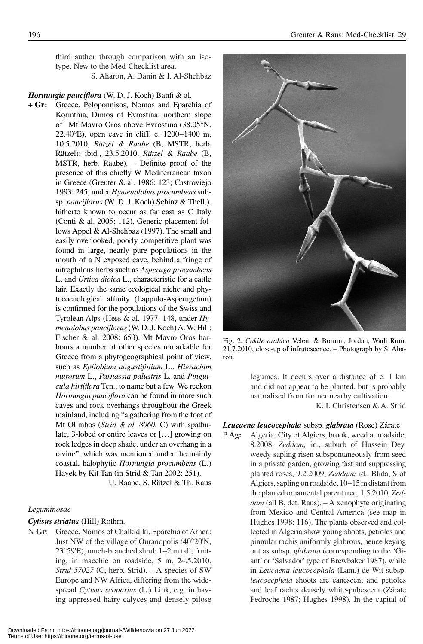third author through comparison with an isotype. New to the Med-Checklist area.

S. Aharon, A. Danin & I. Al-Shehbaz

#### *Hornungia pauciflora* (W. D. J. Koch) Banfi & al.

+ **Gr:** Greece, Peloponnisos, Nomos and Eparchia of Korinthia, Dimos of Evrostina: northern slope of Mt Mavro Oros above Evrostina (38.05°N, 22.40 $\degree$ E), open cave in cliff, c. 1200–1400 m, 10.5.2010, *Rätzel & Raabe* (B, MSTR, herb. Rätzel); ibid., 23.5.2010, *Rätzel & Raabe* (B, MSTR, herb. Raabe). – Definite proof of the presence of this chiefly W Mediterranean taxon in Greece (Greuter & al. 1986: 123; Castroviejo 1993: 245, under *Hymenolobus procumbens* subsp. *pauciflorus* (W. D. J. Koch) Schinz & Thell.), hitherto known to occur as far east as C Italy (Conti & al. 2005: 112). Generic placement follows Appel & Al-Shehbaz (1997). The small and easily overlooked, poorly competitive plant was found in large, nearly pure populations in the mouth of a N exposed cave, behind a fringe of nitrophilous herbs such as *Asperugo procumbens* L. and *Urtica dioica* L., characteristic for a cattle lair. Exactly the same ecological niche and phytocoenological affinity (Lappulo-Asperugetum) is confirmed for the populations of the Swiss and Tyrolean Alps (Hess & al. 1977: 148, under *Hymenolobus pauciflorus* (W. D. J. Koch) A. W. Hill; Fischer & al. 2008: 653). Mt Mavro Oros harbours a number of other species remarkable for Greece from a phytogeographical point of view, such as *Epilobium angustifolium* L., *Hieracium murorum* L., *Parnassia palustris* L. and *Pinguicula hirtiflora* Ten., to name but a few. We reckon *Hornungia pauciflora* can be found in more such caves and rock overhangs throughout the Greek mainland, including "a gathering from the foot of Mt Olimbos (*Strid & al. 8060,* C) with spathulate, 3-lobed or entire leaves or […] growing on rock ledges in deep shade, under an overhang in a ravine", which was mentioned under the mainly coastal, halophytic *Hornungia procumbens* (L.) Hayek by Kit Tan (in Strid & Tan 2002: 251).

U. Raabe, S. Rätzel & Th. Raus

#### *Leguminosae*

#### *Cytisus striatus* (Hill) Rothm.

N **Gr**: Greece, Nomos of Chalkidiki, Eparchia of Arnea: Just NW of the village of Ouranopolis (40°20'N,  $23°59'E$ ), much-branched shrub  $1-2$  m tall, fruiting, in macchie on roadside, 5 m, 24.5.2010, *Strid 57027* (C, herb. Strid). – A species of SW Europe and NW Africa, differing from the widespread *Cytisus scoparius* (L.) Link, e.g. in having appressed hairy calyces and densely pilose



Fig. 2. *Cakile arabica* Velen. & Bornm., Jordan, Wadi Rum, 21.7.2010, close-up of infrutescence. – Photograph by S. Aharon.

legumes. It occurs over a distance of c. 1 km and did not appear to be planted, but is probably naturalised from former nearby cultivation.

K. I. Christensen & A. Strid

#### *Leucaena leucocephala* subsp. *glabrata* (Rose) Zárate

P **Ag:** Algeria: City of Algiers, brook, weed at roadside, 8.2008, *Zeddam;* id., suburb of Hussein Dey, weedy sapling risen subspontaneously from seed in a private garden, growing fast and suppressing planted roses, 9.2.2009, *Zeddam;* id., Blida, S of Algiers, sapling on roadside, 10-15 m distant from the planted ornamental parent tree, 1.5.2010, *Zeddam* (all B, det. Raus). – A xenophyte originating from Mexico and Central America (see map in Hughes 1998: 116). The plants observed and collected in Algeria show young shoots, petioles and pinnular rachis uniformly glabrous, hence keying out as subsp. *glabrata* (corresponding to the 'Giant' or 'Salvador' type of Brewbaker 1987), while in *Leucaena leucocephala* (Lam.) de Wit subsp. *leucocephala* shoots are canescent and petioles and leaf rachis densely white-pubescent (Zárate Pedroche 1987; Hughes 1998). In the capital of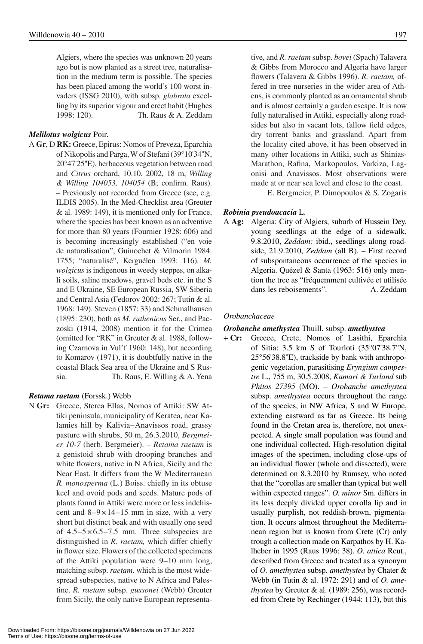Algiers, where the species was unknown 20 years ago but is now planted as a street tree, naturalisation in the medium term is possible. The species has been placed among the world's 100 worst invaders (ISSG 2010), with subsp. *glabrata* excelling by its superior vigour and erect habit (Hughes 1998: 120). Th. Raus & A. Zeddam

# *Melilotus wolgicus* Poir.

A **Gr**, D **RK:** Greece, Epirus: Nomos of Preveza, Eparchia of Nikopolis and Parga, W of Stefani (39°10'34"N, 20°47'25"E), herbaceous vegetation between road and *Citrus* orchard, 10.10. 2002, 18 m, *Willing & Willing 104053, 104054* (B; confirm. Raus). – Previously not recorded from Greece (see, e.g. ILDIS 2005). In the Med-Checklist area (Greuter & al. 1989: 149), it is mentioned only for France, where the species has been known as an adventive for more than 80 years (Fournier 1928: 606) and is becoming increasingly established ("en voie de naturalisation", Guinochet & Vilmorin 1984: 1755; "naturalisé", Kerguélen 1993: 116). *M. wolgicus* is indigenous in weedy steppes, on alkali soils, saline meadows, gravel beds etc. in the S and E Ukraine, SE European Russia, SW Siberia and Central Asia (Fedorov 2002: 267; Tutin & al. 1968: 149). Steven (1857: 33) and Schmalhausen (1895: 230), both as *M. ruthenicus* Ser., and Paczoski (1914, 2008) mention it for the Crimea (omitted for "RK" in Greuter & al. 1988, following Czarnova in Vul'f 1960: 148), but according to Komarov (1971), it is doubtfully native in the coastal Black Sea area of the Ukraine and S Russia. Th. Raus, E. Willing & A. Yena

#### *Retama raetam* (Forssk.) Webb

N **Gr:** Greece, Sterea Ellas, Nomos of Attiki: SW Attiki peninsula, municipality of Keratea, near Kalamies hill by Kalivia-Anavissos road, grassy pasture with shrubs, 50 m, 26.3.2010, *Bergmeier 10-7* (herb. Bergmeier). – *Retama raetam* is a genistoid shrub with drooping branches and white flowers, native in N Africa, Sicily and the Near East. It differs from the W Mediterranean *R. monosperma* (L.) Boiss. chiefly in its obtuse keel and ovoid pods and seeds. Mature pods of plants found in Attiki were more or less indehiscent and  $8-9 \times 14-15$  mm in size, with a very short but distinct beak and with usually one seed of  $4.5 - 5 \times 6.5 - 7.5$  mm. Three subspecies are distinguished in *R. raetam,* which differ chiefly in flower size. Flowers of the collected specimens of the Attiki population were 9-10 mm long, matching subsp. *raetam,* which is the most widespread subspecies, native to N Africa and Palestine. *R. raetam* subsp. *gussonei* (Webb) Greuter from Sicily, the only native European representative, and *R. raetam* subsp. *bovei* (Spach) Talavera & Gibbs from Morocco and Algeria have larger flowers (Talavera & Gibbs 1996). *R. raetam,* offered in tree nurseries in the wider area of Athens, is commonly planted as an ornamental shrub and is almost certainly a garden escape. It is now fully naturalised in Attiki, especially along roadsides but also in vacant lots, fallow field edges, dry torrent banks and grassland. Apart from the locality cited above, it has been observed in many other locations in Attiki, such as Shinias-Marathon, Rafina, Markopoulos, Varkiza, Lagonisi and Anavissos. Most observations were made at or near sea level and close to the coast.

E. Bergmeier, P. Dimopoulos & S. Zogaris

#### *Robinia pseudoacacia* L.

A **Ag:** Algeria: City of Algiers, suburb of Hussein Dey, young seedlings at the edge of a sidewalk, 9.8.2010, *Zeddam;* ibid., seedlings along roadside, 21.9.2010, *Zeddam* (all B). – First record of subspontaneous occurrence of the species in Algeria. Quézel & Santa (1963: 516) only mention the tree as "fréquemment cultivée et utilisée dans les reboisements". A. Zeddam

#### *Orobanchaceae*

#### *Orobanche amethystea* Thuill. subsp. *amethystea*

+ **Cr:** Greece, Crete, Nomos of Lasithi, Eparchia of Sitia: 3.5 km S of Tourloti (35°07'38.7''N, 25°56'38.8''E), trackside by bank with anthropogenic vegetation, parasitising *Eryngium campestre* L., 755 m, 30.5.2008, *Kamari & Turland* sub *Phitos 27395* (MO). – *Orobanche amethystea* subsp. *amethystea* occurs throughout the range of the species, in NW Africa, S and W Europe, extending eastward as far as Greece. Its being found in the Cretan area is, therefore, not unexpected. A single small population was found and one individual collected. High-resolution digital images of the specimen, including close-ups of an individual flower (whole and dissected), were determined on 8.3.2010 by Rumsey, who noted that the "corollas are smaller than typical but well within expected ranges". *O. minor* Sm. differs in its less deeply divided upper corolla lip and in usually purplish, not reddish-brown, pigmentation. It occurs almost throughout the Mediterranean region but is known from Crete (Cr) only trough a collection made on Karpathos by H. Kalheber in 1995 (Raus 1996: 38). *O. attica* Reut., described from Greece and treated as a synonym of *O. ame thystea* subsp. *amethystea* by Chater & Webb (in Tutin & al. 1972: 291) and of *O. amethystea* by Greuter & al. (1989: 256), was recorded from Crete by Rechinger (1944: 113), but this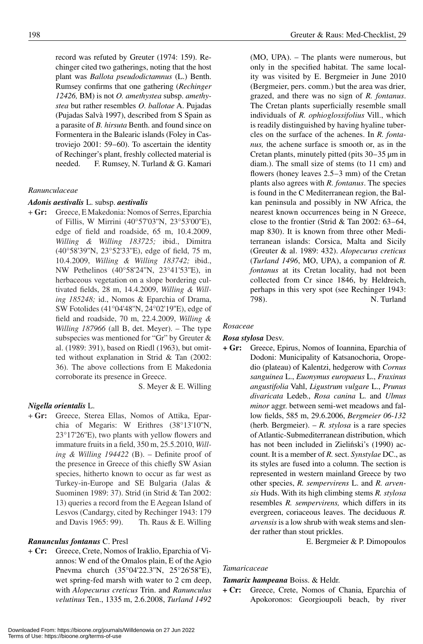record was refuted by Greuter (1974: 159). Rechinger cited two gatherings, noting that the host plant was *Ballota pseudodictamnus* (L.) Benth. Rumsey confirms that one gathering (*Rechinger 12426,* BM) is not *O. amethystea* subsp. *amethystea* but rather resembles *O. ballotae* A. Pujadas (Pujadas Salvà 1997), described from S Spain as a parasite of *B. hirsuta* Benth. and found since on Formentera in the Balearic islands (Foley in Castroviejo 2001: 59–60). To ascertain the identity of Rechinger's plant, freshly collected material is needed. F. Rumsey, N. Turland & G. Kamari

# *Ranunculaceae*

# *Adonis aestivalis* L. subsp. *aestivalis*

+ Gr: Greece, E Makedonia: Nomos of Serres, Eparchia of Fillis, W Mirrini (40°57'03''N, 23°53'00''E), edge of field and roadside, 65 m, 10.4.2009, *Willing & Willing 183725;* ibid., Dimitra (40°58'39''N, 23°52'33''E), edge of field, 75 m, 10.4.2009, *Willing & Willing 183742;* ibid., NW Pethelinos (40°58'24''N, 23°41'53''E), in herbaceous vegetation on a slope bordering cultivated fields, 28 m, 14.4.2009, *Willing & Willing 185248;* id., Nomos & Eparchia of Drama, SW Fotolides (41°04'48''N, 24°02'19''E), edge of field and roadside, 70 m, 22.4.2009, *Willing & Willing 187966* (all B, det. Meyer). – The type subspecies was mentioned for "Gr" by Greuter & al. (1989: 391), based on Riedl (1963), but omitted without explanation in Strid & Tan (2002: 36). The above collections from E Makedonia corroborate its presence in Greece.

S. Meyer & E. Willing

#### *Nigella orientalis* L.

+ **Gr:** Greece, Sterea Ellas, Nomos of Attika, Eparchia of Megaris: W Erithres (38°13'10''N, 23°17'26''E), two plants with yellow flowers and immature fruits in a field, 350 m, 25.5.2010, *Willing & Willing 194422* (B). – Definite proof of the presence in Greece of this chiefly SW Asian species, hitherto known to occur as far west as Turkey-in-Europe and SE Bulgaria (Jalas & Suominen 1989: 37). Strid (in Strid & Tan 2002: 13) queries a record from the E Aegean Island of Lesvos (Candargy, cited by Rechinger 1943: 179 and Davis 1965: 99). Th. Raus & E. Willing

#### *Ranunculus fontanus* C. Presl

+ **Cr:** Greece, Crete, Nomos of Iraklio, Eparchia of Viannos: W end of the Omalos plain, E of the Agio Pnevma church (35°04'22.3''N, 25°26'58''E), wet spring-fed marsh with water to 2 cm deep, with *Alopecurus creticus* Trin. and *Ranunculus velutinus* Ten., 1335 m, 2.6.2008, *Turland 1492*

(MO, UPA). – The plants were numerous, but only in the specified habitat. The same locality was visited by E. Bergmeier in June 2010 (Bergmeier, pers. comm.) but the area was drier, grazed, and there was no sign of *R. fontanus*. The Cretan plants superficially resemble small individuals of *R. ophioglossifolius* Vill., which is readily distinguished by having hyaline tubercles on the surface of the achenes. In *R. fontanus,* the achene surface is smooth or, as in the Cretan plants, minutely pitted (pits 30 – 35 μm in diam.). The small size of stems (to 11 cm) and flowers (honey leaves  $2.5-3$  mm) of the Cretan plants also agrees with *R. fontanus*. The species is found in the C Mediterranean region, the Balkan peninsula and possibly in NW Africa, the nearest known occurrences being in N Greece, close to the frontier (Strid & Tan 2002:  $63-64$ , map 830). It is known from three other Mediterranean islands: Corsica, Malta and Sicily (Greuter & al. 1989: 432). *Alopecurus creticus*  (*Turland 1496*, MO, UPA), a companion of *R. fontanus* at its Cretan locality, had not been collected from Cr since 1846, by Heldreich, perhaps in this very spot (see Rechinger 1943: 798). N. Turland

### *Rosaceae*

#### *Rosa stylosa* Desv.

**+ Gr:** Greece, Epirus, Nomos of Ioannina, Eparchia of Dodoni: Municipality of Katsanochoria, Oropedio (plateau) of Kalentzi, hedgerow with *Cornus sanguinea* L., *Euonymus europaeus* L., *Fraxinus angustifolia* Vahl, *Ligustrum vulgare* L., *Prunus divaricata* Ledeb., *Rosa canina* L. and *Ulmus minor* aggr. between semi-wet meadows and fallow fields, 585 m, 29.6.2006, *Bergmeier 06-132* (herb. Bergmeier). – *R. stylosa* is a rare species of Atlantic-Submediterranean distribution, which has not been included in Zieliński's (1990) account. It is a member of *R.* sect. *Synstylae* DC., as its styles are fused into a column. The section is represented in western mainland Greece by two other species, *R. sempervirens* L. and *R. arvensis* Huds. With its high climbing stems *R. stylosa* resembles *R. sempervirens,* which differs in its evergreen, coriaceous leaves. The deciduous *R. arvensis* is a low shrub with weak stems and slender rather than stout prickles.

E. Bergmeier & P. Dimopoulos

# *Tamaricaceae*

#### *Tamarix hampeana* Boiss. & Heldr.

**+ Cr:** Greece, Crete, Nomos of Chania, Eparchia of Apokoronos: Georgioupoli beach, by river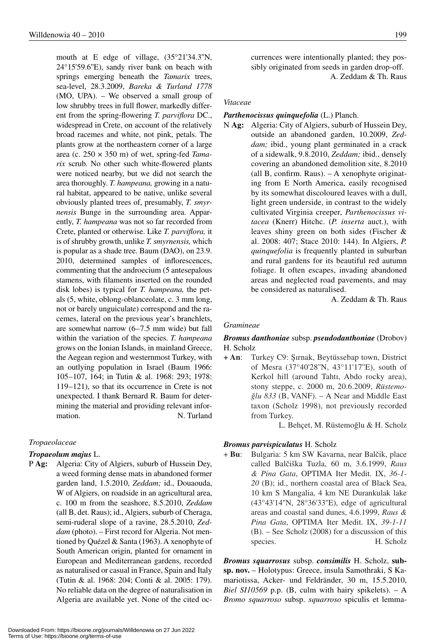mouth at E edge of village, (35°21'34.3''N, 24°15'59.6''E), sandy river bank on beach with springs emerging beneath the *Tamarix* trees, sea-level, 28.3.2009, *Bareka & Turland 1778* (MO, UPA). – We observed a small group of low shrubby trees in full flower, markedly different from the spring-flowering *T. parviflora* DC., widespread in Crete, on account of the relatively broad racemes and white, not pink, petals. The plants grow at the northeastern corner of a large area (c. 250 × 350 m) of wet, spring-fed *Tamarix* scrub. No other such white-flowered plants were noticed nearby, but we did not search the area thoroughly. *T. hampeana,* growing in a natural habitat, appeared to be native, unlike several obviously planted trees of, presumably, *T. smyrnensis* Bunge in the surrounding area. Apparently, *T. hampeana* was not so far recorded from Crete, planted or otherwise. Like *T. parviflora,* it is of shrubby growth, unlike *T. smyrnensis,* which is popular as a shade tree. Baum (DAO), on 23.9. 2010, determined samples of inflorescences, commenting that the androecium (5 antesepalous stamens, with filaments inserted on the rounded disk lobes) is typical for *T. hampeana,* the petals (5, white, oblong-oblanceolate, c. 3 mm long, not or barely unguiculate) correspond and the racemes, lateral on the previous year's branchlets, are somewhat narrow  $(6-7.5 \text{ mm wide})$  but fall within the variation of the species. *T. hampeana* grows on the Ionian Islands, in mainland Greece, the Aegean region and westernmost Turkey, with an outlying population in Israel (Baum 1966: 105 – 107, 164; in Tutin & al. 1968: 293; 1978: 119–121), so that its occurrence in Crete is not unexpected. I thank Bernard R. Baum for determining the material and providing relevant information. N. Turland

# *Tropaeolaceae*

#### *Tropaeolum majus* L.

P **Ag:** Algeria: City of Algiers, suburb of Hussein Dey, a weed forming dense mats in abandoned former garden land, 1.5.2010, *Zeddam;* id., Douaouda, W of Algiers, on roadside in an agricultural area, c. 100 m from the seashore, 8.5.2010, *Zeddam*  (all B, det. Raus); id., Algiers, suburb of Cheraga, semi-ruderal slope of a ravine, 28.5.2010, *Zeddam* (photo). – First record for Algeria. Not mentioned by Quézel & Santa (1963). A xenophyte of South American origin, planted for ornament in European and Mediterranean gardens, recorded as naturalised or casual in France, Spain and Italy (Tutin & al. 1968: 204; Conti & al. 2005: 179). No reliable data on the degree of naturalisation in Algeria are available yet. None of the cited occurrences were intentionally planted; they possibly originated from seeds in garden drop-off. A. Zeddam & Th. Raus

#### *Vitaceae*

#### *Parthenocissus quinquefolia* (L.) Planch.

N **Ag:** Algeria: City of Algiers, suburb of Hussein Dey, outside an abandoned garden, 10.2009, *Zeddam;* ibid., young plant germinated in a crack of a sidewalk, 9.8.2010, *Zeddam;* ibid., densely covering an abandoned demolition site, 8.2010 (all B, confirm. Raus). – A xenophyte originating from E North America, easily recognised by its somewhat discoloured leaves with a dull, light green underside, in contrast to the widely cultivated Virginia creeper, *Parthenocissus vitacea* (Knerr) Hitchc. (*P. inserta* auct.), with leaves shiny green on both sides (Fischer & al. 2008: 407; Stace 2010: 144). In Algiers, *P. quinquefolia* is frequently planted in suburban and rural gardens for its beautiful red autumn foliage. It often escapes, invading abandoned areas and neglected road pavements, and may be considered as naturalised.

A. Zeddam & Th. Raus

#### *Gramineae*

#### *Bromus danthoniae* subsp. *pseudodanthoniae* (Drobov) H. Scholz

**+ An:** Turkey C9: Şırnak, Beytüssebap town, District of Mesra (37°40'28''N, 43°11'17''E), south of Kerkol hill (around Tahtı, Abdo rocky area), stony steppe, c. 2000 m, 20.6.2009, *Rüstemo-8lu 833* (B, VANF). – A Near and Middle East taxon (Scholz 1998), not previously recorded from Turkey.

L. Behçet, M. Rüstemoğlu & H. Scholz

#### *Bromus parvispiculatus* H. Scholz

+ **Bu**: Bulgaria: 5 km SW Kavarna, near Balcik, place called Balciska Tuzla, 60 m, 3.6.1999, *Raus & Pina Gata*, OPTIMA Iter Medit. IX, *36-1- 20* (B); id., northern coastal area of Black Sea, 10 km S Mangalia, 4 km NE Durankulak lake (43°43'14''N, 28°36'33''E), edge of agricultural areas and coastal sand dunes, 4.6.1999, *Raus & Pina Gata*, OPTIMA Iter Medit. IX, *39-1-11* (B). – See Scholz (2008) for a discussion of this species. H. Scholz

*Bromus squarrosus* subsp. *consimilis* H. Scholz, **subsp. nov.** – Holotypus: Greece, insula Samothraki, S Kamariotissa, Acker- und Feldränder, 30 m, 15.5.2010, *Biel SI10569* p.p. (B, culm with hairy spikelets). – A *Bromo squarroso* subsp. *squarroso* spiculis et lemma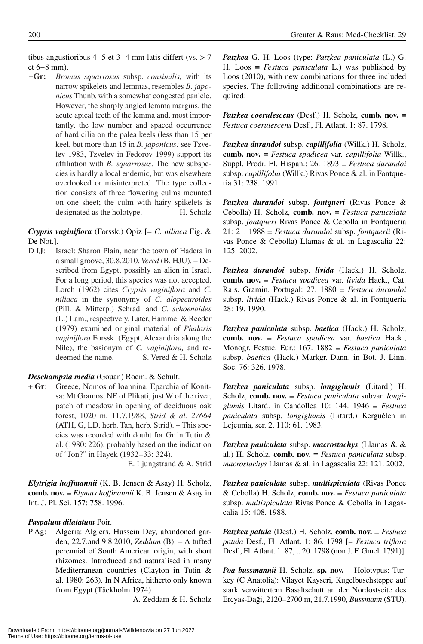tibus angustioribus 4–5 et 3–4 mm latis differt (vs.  $> 7$ et  $6 - 8$  mm).

*+***Gr:** *Bromus squarrosus* subsp. *consimilis,* with its narrow spikelets and lemmas, resembles *B. japonicus* Thunb. with a somewhat congested panicle. However, the sharply angled lemma margins, the acute apical teeth of the lemma and, most importantly, the low number and spaced occurrence of hard cilia on the palea keels (less than 15 per keel, but more than 15 in *B. japonicus:* see Tzvelev 1983, Tzvelev in Fedorov 1999) support its affiliation with *B. squarrosus*. The new subspecies is hardly a local endemic, but was elsewhere overlooked or misinterpreted. The type collection consists of three flowering culms mounted on one sheet; the culm with hairy spikelets is designated as the holotype. H. Scholz

*Crypsis vaginiflora* (Forssk.) Opiz [= *C. niliaca* Fig. & De Not.].

D **IJ**: Israel: Sharon Plain, near the town of Hadera in a small groove, 30.8.2010, *Vered* (B, HJU). – Described from Egypt, possibly an alien in Israel. For a long period, this species was not accepted. Lorch (1962) cites *Crypsis vaginiflora* and *C. nili aca* in the synonymy of *C. alopecuroides* (Pill. & Mitterp.) Schrad. and *C. schoenoides* (L.) Lam., respectively. Later, Hammel & Reeder (1979) examined original material of *Phalaris vaginiflora* Forssk. (Egypt, Alexandria along the Nile), the basionym of *C. vaginiflora,* and redeemed the name. S. Vered & H. Scholz

#### *Deschampsia media* (Gouan) Roem. & Schult.

+ **Gr**: Greece, Nomos of Ioannina, Eparchia of Konitsa: Mt Gramos, NE of Plikati, just W of the river, patch of meadow in opening of deciduous oak forest, 1020 m, 11.7.1988, *Strid & al. 27664* (ATH, G, LD, herb. Tan, herb. Strid). – This species was recorded with doubt for Gr in Tutin & al. (1980: 226), probably based on the indication of "Jon?" in Hayek (1932–33: 324).

E. Ljungstrand & A. Strid

*Elytrigia hoffmannii* (K. B. Jensen & Asay) H. Scholz, **comb. nov.** { *Elymus hoffmannii* K. B. Jensen & Asay in Int. J. Pl. Sci. 157: 758. 1996.

#### *Paspalum dilatatum* Poir.

P Ag: Algeria: Algiers, Hussein Dey, abandoned garden, 22.7.and 9.8.2010, *Zeddam* (B). – A tufted perennial of South American origin, with short rhizomes. Introduced and naturalised in many Mediterranean countries (Clayton in Tutin & al. 1980: 263). In N Africa, hitherto only known from Egypt (Täckholm 1974).

A. Zeddam & H. Scholz

*Patzkea* G. H. Loos (type: *Patzkea paniculata* (L.) G. H. Loos  $\equiv$  *Festuca paniculata* L.) was published by Loos (2010), with new combinations for three included species. The following additional combinations are required:

*Patzkea coerulescens* (Desf.) H. Scholz, **comb.** nov.  $\equiv$ *Festuca coerulescens* Desf., Fl. Atlant. 1: 87. 1798.

*Patzkea durandoi* subsp. *capillifolia* (Willk.) H. Scholz, **comb. nov.**  $\equiv$  *Festuca spadicea* var. *capillifolia* Willk., Suppl. Prodr. Fl. Hispan.: 26. 1893 { *Festuca durandoi*  subsp. *capillifolia* (Willk.) Rivas Ponce & al. in Fontqueria 31: 238. 1991.

*Patzkea durandoi* subsp. *fontqueri* (Rivas Ponce & Cebolla) H. Scholz, **comb. nov.** { *Festuca paniculata* subsp. *fontqueri* Rivas Ponce & Cebolla in Fontqueria 21: 21. 1988  $\equiv$  *Festuca durandoi* subsp. *fontquerii* (Rivas Ponce & Cebolla) Llamas & al. in Lagascalia 22: 125. 2002.

*Patzkea durandoi* subsp. *livida* (Hack.) H. Scholz, **comb. nov.** { *Festuca spadicea* var. *livida* Hack., Cat. Rais. Gramin. Portugal:  $27.1880 \equiv \text{Festuca}$  durandoi subsp. *livida* (Hack.) Rivas Ponce & al. in Fontqueria 28: 19. 1990.

*Patzkea paniculata* subsp. *baetica* (Hack.) H. Scholz, **comb.** nov.  $\equiv$  *Festuca spadicea* var. *baetica* Hack., Monogr. Festuc. Eur.: 167. 1882  $\equiv$  *Festuca paniculata* subsp. *baetica* (Hack.) Markgr.-Dann. in Bot. J. Linn. Soc. 76: 326. 1978.

*Patzkea paniculata* subsp. *longiglumis* (Litard.) H. Scholz, **comb. nov.** = *Festuca paniculata* subvar. *longiglumis* Litard. in Candollea 10: 144. 1946  $\equiv$  *Festuca pani culata* subsp. *longiglumis* (Litard.) Kerguélen in Lejeunia, ser. 2, 110: 61. 1983.

*Patzkea paniculata* subsp. *macrostachys* (Llamas & & al.) H. Scholz, **comb. nov.** { *Festuca paniculata* subsp. *macrostachys* Llamas & al. in Lagascalia 22: 121. 2002.

*Patzkea paniculata* subsp. *multispiculata* (Rivas Ponce & Cebolla) H. Scholz, **comb. nov.** { *Festuca paniculata* subsp. *multispiculata* Rivas Ponce & Cebolla in Lagascalia 15: 408. 1988.

*Patzkea patula* (Desf.) H. Scholz, **comb. nov.** { *Festuca patula* Desf., Fl. Atlant. 1: 86. 1798 [= *Festuca triflora* Desf., Fl. Atlant. 1: 87, t. 20. 1798 (non J. F. Gmel. 1791)].

*Poa bussmannii* H. Scholz, **sp. nov.** – Holotypus: Turkey (C Anatolia): Vilayet Kayseri, Kugelbuschsteppe auf stark verwittertem Basaltschutt an der Nordostseite des Ercyas-Da8i, 2120 – 2700 m, 21.7.1990, *Bussmann* (STU).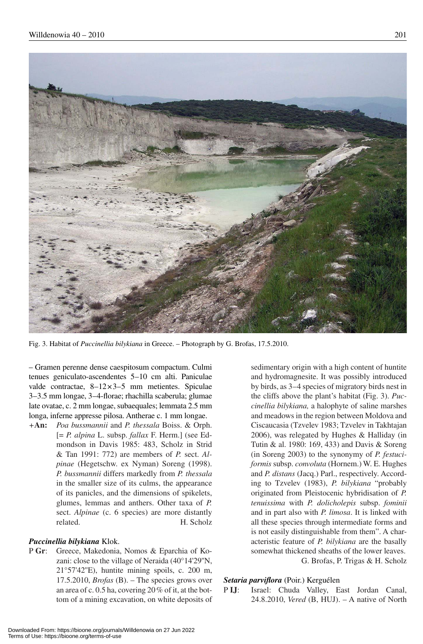

Fig. 3. Habitat of *Puccinellia bilykiana* in Greece. – Photograph by G. Brofas, 17.5.2010.

– Gramen perenne dense caespitosum compactum. Culmi tenues geniculato-ascendentes 5–10 cm alti. Paniculae valde contractae,  $8-12\times3-5$  mm metientes. Spiculae 3 – 3.5 mm longae, 3 – 4-florae; rhachilla scaberula; glumae late ovatae, c. 2 mm longae, subaequales; lemmata 2.5 mm longa, inferne appresse pilosa. Antherae c. 1 mm longae.

*+***An:** *Poa bussmannii* and *P. thessala* Boiss. & Orph. [= *P. alpina* L. subsp. *fallax* F. Herm.] (see Edmondson in Davis 1985: 483, Scholz in Strid & Tan 1991: 772) are members of *P.* sect. *Alpinae* (Hegetschw. ex Nyman) Soreng (1998). *P. bussmannii* differs markedly from *P. thessala* in the smaller size of its culms, the appearance of its panicles, and the dimensions of spikelets, glumes, lemmas and anthers. Other taxa of *P.*  sect. *Alpinae* (c. 6 species) are more distantly related. H. Scholz

#### *Puccinellia bilykiana* Klok.

P **Gr**: Greece, Makedonia, Nomos & Eparchia of Kozani: close to the village of Neraida (40°14'29''N, 21°57'42''E), huntite mining spoils, c. 200 m, 17.5.2010, *Brofas* (B). – The species grows over an area of c. 0.5 ha, covering 20 % of it, at the bottom of a mining excavation, on white deposits of

sedimentary origin with a high content of huntite and hydromagnesite. It was possibly introduced by birds, as 3–4 species of migratory birds nest in the cliffs above the plant's habitat (Fig. 3). *Puccinellia bilykiana,* a halophyte of saline marshes and meadows in the region between Moldova and Ciscaucasia (Tzvelev 1983; Tzvelev in Takhtajan 2006), was relegated by Hughes & Halliday (in Tutin & al. 1980: 169, 433) and Davis & Soreng (in Soreng 2003) to the synonymy of *P. festuciformis* subsp. *convoluta* (Hornem.) W. E. Hughes and *P. distans* (Jacq.) Parl., respectively. According to Tzvelev (1983), *P. bilykiana* "probably originated from Pleistocenic hybridisation of *P. tenuissima* with *P. dolicholepis* subsp. *fominii* and in part also with *P. limosa*. It is linked with all these species through intermediate forms and is not easily distinguishable from them". A characteristic feature of *P. bilykiana* are the basally somewhat thickened sheaths of the lower leaves. G. Brofas, P. Trigas & H. Scholz

#### *Setaria parviflora* (Poir.) Kerguélen

P **IJ**: Israel: Chuda Valley, East Jordan Canal, 24.8.2010, *Vered* (B, HUJ). – A native of North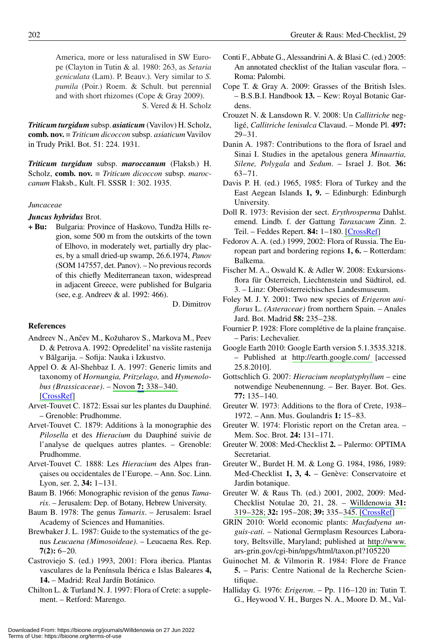America, more or less naturalised in SW Europe (Clayton in Tutin & al. 1980: 263, as *Setaria geniculata* (Lam). P. Beauv.). Very similar to *S. pumila* (Poir.) Roem. & Schult. but perennial and with short rhizomes (Cope & Gray 2009). S. Vered & H. Scholz

*Triticum turgidum* subsp. *asiaticum* (Vavilov) H. Scholz, **comb. nov.** = *Triticum dicoccon* subsp. *asiaticum* Vavilov in Trudy Prikl. Bot. 51: 224. 1931.

*Triticum turgidum* subsp. *maroccanum* (Flaksb.) H. Scholz, **comb. nov.** = *Triticum dicoccon* subsp. *maroccanum* Flaksb., Kult. Fl. SSSR 1: 302. 1935.

# *Juncaceae*

*Juncus hybridus* Brot.

+ Bu: Bulgaria: Province of Haskovo, Tundža Hills region, some 500 m from the outskirts of the town of Elhovo, in moderately wet, partially dry places, by a small dried-up swamp, 26.6.1974, *Panov* (SOM 147557, det. Panov). – No previous records of this chiefly Mediterranean taxon, widespread in adjacent Greece, were published for Bulgaria (see, e.g. Andreev & al. 1992: 466).

D. Dimitrov

# **References**

- Andreev N., Ančev M., Kožuharov S., Markova M., Peev D. & Petrova A. 1992: Opredelitel' na vissite rastenija v Bălgarija. – Sofija: Nauka i Izkustvo.
- Appel O. & Al-Shehbaz I. A. 1997: Generic limits and taxonomy of *Hornungia, Pritzelago,* and *Hymenolobus (Brassicaceae)*. – Novon **7:** 338 – 340. [CrossRef]
- Arvet-Touvet C. 1872: Essai sur les plantes du Dauphiné. – Grenoble: Prudhomme.
- Arvet-Touvet C. 1879: Additions à la monographie des *Pilosella* et des *Hieracium* du Dauphiné suivie de l'analyse de quelques autres plantes. – Grenoble: Prudhomme.
- Arvet-Touvet C. 1888: Les *Hieracium* des Alpes françaises ou occidentales de l'Europe. – Ann. Soc. Linn. Lyon, ser. 2, 34: 1-131.
- Baum B. 1966: Monographic revision of the genus *Tamarix*. – Jerusalem: Dep. of Botany, Hebrew University.
- Baum B. 1978: The genus *Tamarix*. Jerusalem: Israel Academy of Sciences and Humanities.
- Brewbaker J. L. 1987: Guide to the systematics of the genus *Leucaena (Mimosoideae)*. – Leucaena Res. Rep.  $7(2): 6 - 20.$
- Castroviejo S. (ed.) 1993, 2001: Flora iberica. Plantas vasculares de la Península Ibérica e Islas Baleares **4, 14.** – Madrid: Real Jardín Botánico.
- Chilton L. & Turland N. J. 1997: Flora of Crete: a supplement. – Retford: Marengo.
- Conti F., Abbate G., Alessandrini A. & Blasi C. (ed.) 2005: An annotated checklist of the Italian vascular flora. – Roma: Palombi.
- Cope T. & Gray A. 2009: Grasses of the British Isles. – B.S.B.I. Handbook **13.** – Kew: Royal Botanic Gardens.
- Crouzet N. & Lansdown R. V. 2008: Un *Callitriche* negligé, *Callitriche lenisulca* Clavaud. – Monde Pl. **497:**   $29 - 31$ .
- Danin A. 1987: Contributions to the flora of Israel and Sinai I. Studies in the apetalous genera *Minuartia, Silene, Polygala* and *Sedum*. – Israel J. Bot. **36:**  $63 - 71.$
- Davis P. H. (ed.) 1965, 1985: Flora of Turkey and the East Aegean Islands **1, 9.** – Edinburgh: Edinburgh University.
- Doll R. 1973: Revision der sect. *Erythrosperma* Dahlst. emend. Lindb. f. der Gattung *Taraxacum* Zinn. 2. Teil. – Feddes Repert. **84:** 1 – 180. [CrossRef]
- Fedorov A. A. (ed.) 1999, 2002: Flora of Russia. The European part and bordering regions **1, 6.** – Rotterdam: Balkema.
- Fischer M. A., Oswald K. & Adler W. 2008: Exkursionsflora für Österreich, Liechtenstein und Südtirol, ed. 3. – Linz: Oberösterreichisches Landesmuseum.
- Foley M. J. Y. 2001: Two new species of *Erigeron uniflorus* L. *(Asteraceae)* from northern Spain. – Anales Jard. Bot. Madrid **58:** 235 – 238.
- Fournier P. 1928: Flore complétive de la plaine française. – Paris: Lechevalier.
- Google Earth 2010: Google Earth version 5.1.3535.3218. – Published at http://earth.google.com/ [accessed 25.8.2010].
- Gottschlich G. 2007: *Hieracium neoplatyphyllum* eine notwendige Neubenennung. – Ber. Bayer. Bot. Ges. 77: 135-140.
- Greuter W. 1973: Additions to the flora of Crete, 1938 1972. – Ann. Mus. Goulandris **1:** 15 – 83.
- Greuter W. 1974: Floristic report on the Cretan area. Mem. Soc. Brot. **24:** 131 – 171.
- Greuter W. 2008: Med-Checklist **2.** Palermo: OPTIMA Secretariat.
- Greuter W., Burdet H. M. & Long G. 1984, 1986, 1989: Med-Checklist **1, 3, 4.** – Genève: Conservatoire et Jardin botanique.
- Greuter W. & Raus Th. (ed.) 2001, 2002, 2009: Med-Checklist Notulae 20, 21, 28. – Willdenowia **31:**  319 – 328; **32:** 195 – 208; **39:** 335 – 345. [CrossRef]
- GRIN 2010: World economic plants: *Macfadyena unguis-cati*. – National Germplasm Resources Laboratory, Beltsville, Maryland; published at http://www. ars-grin.gov/cgi-bin/npgs/html/taxon.pl?105220
- Guinochet M. & Vilmorin R. 1984: Flore de France **5.** – Paris: Centre National de la Recherche Scientifique.
- Halliday G. 1976: *Erigeron.* Pp. 116–120 in: Tutin T. G., Heywood V. H., Burges N. A., Moore D. M., Val-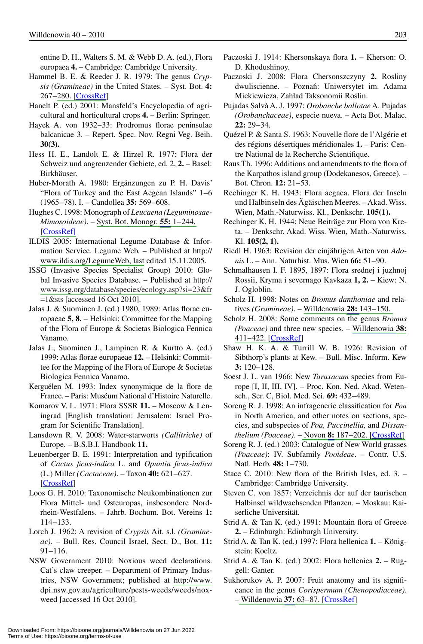entine D. H., Walters S. M. & Webb D. A. (ed.), Flora europaea **4.** – Cambridge: Cambridge University.

- Hammel B. E. & Reeder J. R. 1979: The genus *Crypsis (Gramineae)* in the United States. – Syst. Bot. **4:**  267–280. [CrossRef]
- Hanelt P. (ed.) 2001: Mansfeld's Encyclopedia of agricultural and horticultural crops **4.** – Berlin: Springer.
- Hayek A. von 1932–33: Prodromus florae peninsulae balcanicae 3. – Repert. Spec. Nov. Regni Veg. Beih. **30(3).**
- Hess H. E., Landolt E. & Hirzel R. 1977: Flora der Schweiz und angrenzender Gebiete, ed. 2, **2.** – Basel: Birkhäuser.
- Huber-Morath A. 1980: Ergänzungen zu P. H. Davis' "Flora of Turkey and the East Aegean Islands" 1-6 (1965 – 78). I. – Candollea **35:** 569 – 608.
- Hughes C. 1998: Monograph of *Leucaena (Leguminosae-Mimosoideae)*. – Syst. Bot. Monogr. **55:** 1 – 244. [CrossRef]
- ILDIS 2005: International Legume Database & Information Service. Legume Web. – Published at http:// www.ildis.org/LegumeWeb, last edited 15.11.2005.
- ISSG (Invasive Species Specialist Group) 2010: Global Invasive Species Database. – Published at http:// www.issg.org/database/species/ecology.asp?si=23&fr  $=1$ &sts [accessed 16 Oct 2010].
- Jalas J. & Suominen J. (ed.) 1980, 1989: Atlas florae europaeae **5, 8.** – Helsinki: Committee for the Mapping of the Flora of Europe & Societas Biologica Fennica Vanamo.
- Jalas J., Suominen J., Lampinen R. & Kurtto A. (ed.) 1999: Atlas florae europaeae **12.** – Helsinki: Committee for the Mapping of the Flora of Europe & Societas Biologica Fennica Vanamo.
- Kerguélen M. 1993: Index synonymique de la flore de France. – Paris: Muséum National d'Histoire Naturelle.
- Komarov V. L. 1971: Flora SSSR **11.** Moscow & Leningrad [English translation: Jerusalem: Israel Program for Scientific Translation].
- Lansdown R. V. 2008: Water-starworts *(Callitriche)* of Europe. – B.S.B.I. Handbook **11.**
- Leuenberger B. E. 1991: Interpretation and typification of *Cactus ficus-indica* L. and *Opuntia ficus-indica* (L.) Miller *(Cactaceae)*. – Taxon **40:** 621 – 627. [CrossRef]
- Loos G. H. 2010: Taxonomische Neukombinationen zur Flora Mittel- und Osteuropas, insbesondere Nordrhein-Westfalens. – Jahrb. Bochum. Bot. Vereins **1:**  114 – 133.
- Lorch J. 1962: A revision of *Crypsis* Ait. s.l. *(Gramineae).* – Bull. Res. Council Israel, Sect. D., Bot. **11:**   $91 - 116.$
- NSW Government 2010: Noxious weed declarations. Cat's claw creeper. – Department of Primary Industries, NSW Government; published at http://www. dpi.nsw.gov.au/agriculture/pests-weeds/weeds/noxweed [accessed 16 Oct 2010].
- Paczoski J. 1914: Khersonskaya flora **1.** Kherson: O. D. Khodushinoy.
- Paczoski J. 2008: Flora Chersonszczyny **2.** Rosliny dwuliscienne. - Poznań: Uniwersytet im. Adama Mickiewicza, Zahład Taksonomii Roślin.
- Pujadas Salvà A. J. 1997: *Orobanche ballotae* A. Pujadas *(Orobanchaceae)*, especie nueva. – Acta Bot. Malac. **22:** 29 – 34.
- Quézel P. & Santa S. 1963: Nouvelle flore de l'Algérie et des régions désertiques méridionales **1.** – Paris: Centre National de la Recherche Scientifique.
- Raus Th. 1996: Additions and amendments to the flora of the Karpathos island group (Dodekanesos, Greece). – Bot. Chron. **12:** 21-53.
- Rechinger K. H. 1943: Flora aegaea. Flora der Inseln und Halbinseln des Ägäischen Meeres. – Akad. Wiss. Wien, Math.-Naturwiss. Kl., Denkschr. **105(1).**
- Rechinger K. H. 1944: Neue Beiträge zur Flora von Kreta. – Denkschr. Akad. Wiss. Wien, Math.-Naturwiss. Kl. **105(2, 1).**
- Riedl H. 1963: Revision der einjährigen Arten von *Adonis* L. – Ann. Naturhist. Mus. Wien **66:** 51 – 90.
- Schmalhausen I. F. 1895, 1897: Flora srednej i juzhnoj Rossii, Kryma i severnago Kavkaza **1, 2.** – Kiew: N. J. Ogloblin.
- Scholz H. 1998: Notes on *Bromus danthoniae* and relatives *(Gramineae)*. – Willdenowia **28:** 143 – 150.
- Scholz H. 2008: Some comments on the genus *Bromus (Poaceae)* and three new species. – Willdenowia **38:**  411–422. [CrossRef]
- Shaw H. K. A. & Turrill W. B. 1926: Revision of Sibthorp's plants at Kew. – Bull. Misc. Inform. Kew **3:** 120–128.
- Soest J. L. van 1966: New *Taraxacum* species from Europe [I, II, III, IV]. – Proc. Kon. Ned. Akad. Wetensch., Ser. C, Biol. Med. Sci. **69:** 432 – 489.
- Soreng R. J. 1998: An infrageneric classification for *Poa* in North America, and other notes on sections, species, and subspecies of *Poa, Puccinellia,* and *Dissanthelium (Poaceae)*. – Novon **8:** 187 – 202. [CrossRef]
- Soreng R. J. (ed.) 2003: Catalogue of New World grasses *(Poaceae)*: IV. Subfamily *Pooideae*. – Contr. U.S. Natl. Herb. **48:** 1-730.
- Stace C. 2010: New flora of the British Isles, ed. 3. Cambridge: Cambridge University.
- Steven C. von 1857: Verzeichnis der auf der taurischen Halbinsel wildwachsenden Pflanzen. – Moskau: Kaiserliche Universität.
- Strid A. & Tan K. (ed.) 1991: Mountain flora of Greece **2.** – Edinburgh: Edinburgh University.
- Strid A. & Tan K. (ed.) 1997: Flora hellenica **1.** Königstein: Koeltz.
- Strid A. & Tan K. (ed.) 2002: Flora hellenica **2.** Ruggell: Ganter.
- Sukhorukov A. P. 2007: Fruit anatomy and its significance in the genus *Corispermum (Chenopodiaceae)*. – Willdenowia **37:** 63 – 87. [CrossRef]